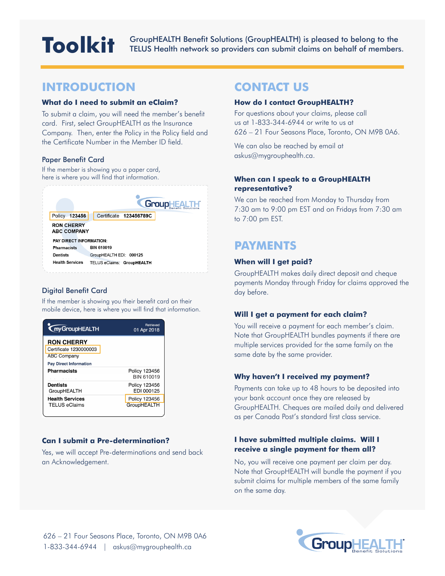# **Toolkit**

GroupHEALTH Benefit Solutions (GroupHEALTH) is pleased to belong to the TELUS Health network so providers can submit claims on behalf of members.

## **INTRODUCTION**

#### **What do I need to submit an eClaim?**

To submit a claim, you will need the member's benefit card. First, select GroupHEALTH as the Insurance Company. Then, enter the Policy in the Policy field and the Certificate Number in the Member ID field.

#### Paper Benefit Card

If the member is showing you a paper card, here is where you will find that information.



#### Digital Benefit Card

If the member is showing you their benefit card on their mobile device, here is where you will find that information.

| <b>Kmy GroupHEALTH</b>                                                                             | <b>Retrieved</b><br>01 Apr 2018 |
|----------------------------------------------------------------------------------------------------|---------------------------------|
| <b>RON CHERRY</b><br>Certificate 1230000003<br><b>ABC Company</b><br><b>Pay Direct Information</b> |                                 |
| <b>Pharmacists</b>                                                                                 | Policy 123456<br>BIN 610019     |
| <b>Dentists</b><br>GroupHEALTH                                                                     | Policy 123456<br>EDI 000125     |
| <b>Health Services</b><br>TELUS eClaims                                                            | Policy 123456<br>GroupHEALTH    |

#### **Can I submit a Pre-determination?**

Yes, we will accept Pre-determinations and send back an Acknowledgement.

## **CONTACT US**

#### **How do I contact GroupHEALTH?**

For questions about your claims, please call us at 1-833-344-6944 or write to us at 626 – 21 Four Seasons Place, Toronto, ON M9B 0A6.

We can also be reached by email at askus@mygrouphealth.ca.

#### **When can I speak to a GroupHEALTH representative?**

We can be reached from Monday to Thursday from 7:30 am to 9:00 pm EST and on Fridays from 7:30 am to 7:00 pm EST.

## **PAYMENTS**

#### **When will I get paid?**

GroupHEALTH makes daily direct deposit and cheque payments Monday through Friday for claims approved the day before.

#### **Will I get a payment for each claim?**

You will receive a payment for each member's claim. Note that GroupHEALTH bundles payments if there are multiple services provided for the same family on the same date by the same provider.

#### **Why haven't I received my payment?**

Payments can take up to 48 hours to be deposited into your bank account once they are released by GroupHEALTH. Cheques are mailed daily and delivered as per Canada Post's standard first class service.

#### **I have submitted multiple claims. Will I receive a single payment for them all?**

No, you will receive one payment per claim per day. Note that GroupHEALTH will bundle the payment if you submit claims for multiple members of the same family on the same day.